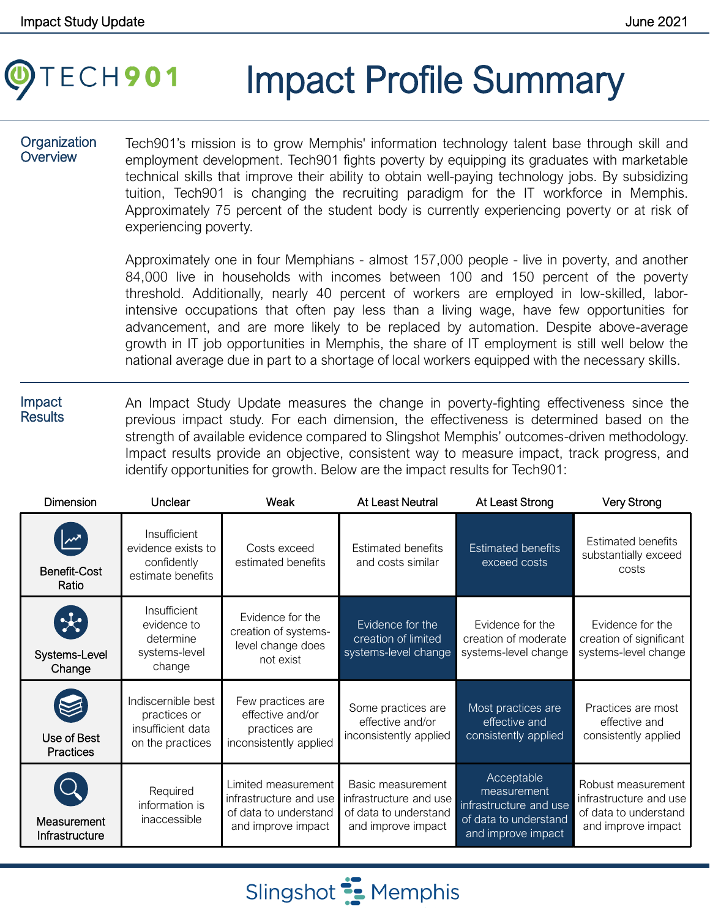# ECH901 Impact Profile Summary

#### **Organization Overview**

Tech901's mission is to grow Memphis' information technology talent base through skill and employment development. Tech901 fights poverty by equipping its graduates with marketable technical skills that improve their ability to obtain well-paying technology jobs. By subsidizing tuition, Tech901 is changing the recruiting paradigm for the IT workforce in Memphis. Approximately 75 percent of the student body is currently experiencing poverty or at risk of experiencing poverty.

Approximately one in four Memphians - almost 157,000 people - live in poverty, and another 84,000 live in households with incomes between 100 and 150 percent of the poverty threshold. Additionally, nearly 40 percent of workers are employed in low-skilled, laborintensive occupations that often pay less than a living wage, have few opportunities for advancement, and are more likely to be replaced by automation. Despite above-average growth in IT job opportunities in Memphis, the share of IT employment is still well below the national average due in part to a shortage of local workers equipped with the necessary skills.

Impact **Results** An Impact Study Update measures the change in poverty-fighting effectiveness since the previous impact study. For each dimension, the effectiveness is determined based on the strength of available evidence compared to Slingshot Memphis' outcomes-driven methodology. Impact results provide an objective, consistent way to measure impact, track progress, and identify opportunities for growth. Below are the impact results for Tech901:

| <b>Dimension</b>                             | Unclear                                                                     | Weak                                                                                         | <b>At Least Neutral</b>                                                                    | At Least Strong                                                                                    | <b>Very Strong</b>                                                                          |
|----------------------------------------------|-----------------------------------------------------------------------------|----------------------------------------------------------------------------------------------|--------------------------------------------------------------------------------------------|----------------------------------------------------------------------------------------------------|---------------------------------------------------------------------------------------------|
| $\mathbb{Z}$<br><b>Benefit-Cost</b><br>Ratio | Insufficient<br>evidence exists to<br>confidently<br>estimate benefits      | Costs exceed<br>estimated benefits                                                           | <b>Estimated benefits</b><br>and costs similar                                             | <b>Estimated benefits</b><br>exceed costs                                                          | <b>Estimated benefits</b><br>substantially exceed<br>costs                                  |
| $\star$<br>Systems-Level<br>Change           | Insufficient<br>evidence to<br>determine<br>systems-level<br>change         | Evidence for the<br>creation of systems-<br>level change does<br>not exist                   | Evidence for the<br>creation of limited<br>systems-level change                            | Evidence for the<br>creation of moderate<br>systems-level change                                   | Evidence for the<br>creation of significant<br>systems-level change                         |
| Use of Best<br><b>Practices</b>              | Indiscernible best<br>practices or<br>insufficient data<br>on the practices | Few practices are<br>effective and/or<br>practices are<br>inconsistently applied             | Some practices are<br>effective and/or<br>inconsistently applied                           | Most practices are<br>effective and<br>consistently applied                                        | Practices are most<br>effective and<br>consistently applied                                 |
| Measurement<br>Infrastructure                | Required<br>information is<br>inaccessible                                  | Limited measurement<br>infrastructure and use<br>of data to understand<br>and improve impact | Basic measurement<br>infrastructure and use<br>of data to understand<br>and improve impact | Acceptable<br>measurement<br>infrastructure and use<br>of data to understand<br>and improve impact | Robust measurement<br>infrastructure and use<br>of data to understand<br>and improve impact |

Slingshot **:** Memphis